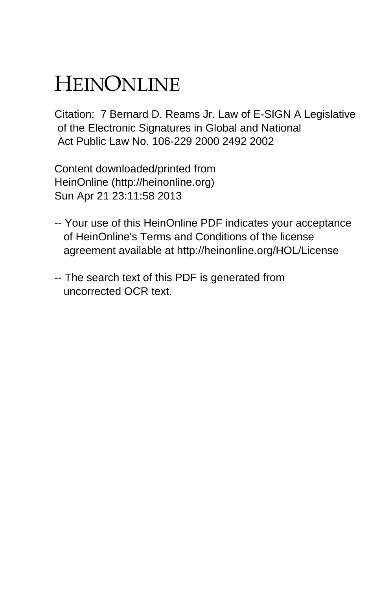# HEINONLINE

Citation: 7 Bernard D. Reams Jr. Law of E-SIGN A Legislative of the Electronic Signatures in Global and National Act Public Law No. 106-229 2000 2492 2002

Content downloaded/printed from HeinOnline (http://heinonline.org) Sun Apr 21 23:11:58 2013

- -- Your use of this HeinOnline PDF indicates your acceptance of HeinOnline's Terms and Conditions of the license agreement available at http://heinonline.org/HOL/License
- -- The search text of this PDF is generated from uncorrected OCR text.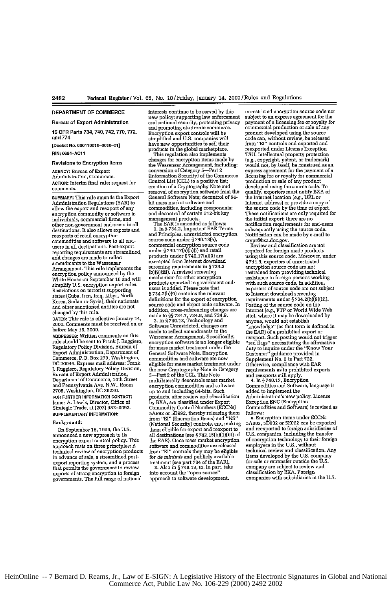## **DEPARTMENT OF COMMERCE**

Bureau of Export **Administration**

**15 CFR Parts 734, 740,742,770,772, and** 774

**[Docket** No. **000110010-0010-01]** RIN: **0694-ACI1**

## **Revisions to** Encryption Items

**AGENCY:** Bureau of Export Administration, Commerce. **ACTION:** Interim final rule; request for comments.

SUMMARY: This rule amends the Export Admniistration Regulations (EAR) to allow the export and reexport of any encryption commodity or software to individuals, commercial firms, and other non-government end-users in all destinations. It also allows exports and reexports of retail encryption commodities and software to all endusers in all destinations. Post-export reporting requirements are streamlined, and changes are made to reflect amendments to the Wassenaar Arrangement. This rule implements the encryption policy announced by the White House on September **16** and will simplify U.S. encryption export rules. Restrictions on terrorist supporting states (Cuba, Iran, Iraq, Libya, North Korea, Sudan or Syria), their nationals and other sanctioned entities are not changed by this rule.

**DATES:** This rule is effective January 14, 2000. Comments must be received on or before May **15,** 2000.

**ADDRESSES:** Written comments on ttis rule should be sent to Frank **J.** Ruggiero, Regulatory Policy Division, Bureau of Export Administration, Department of Commerce, P.O. Box 273, Washington, DC 20044. Express mail address: Frank **J.** Ruggiero, Regulatory Policy Division, Bureau of Export Administration, Department of Commerce, 14th Street and Pennsylvania Ave, N.W., Room 2705, Washington, **DC** 20230. **FOR FURTHER INFORMATION CONTACT:** James **A.** Lewis, Director, Office of Strategic Trade, at (202) 482-0092. SUPPLEMENTARY INFORMATION:

## Background:

On September **16, 1999,** the **U.S.** announced a new approach **to** its encryption export control policy. This approach rests on three principles: A technical review of encryption products in advance of sale, a streamlined postexport reporting system, and a process that permits the government to review exports of strong encryption to foreign governments. The full range of national

interests continue to **be** served by this new policy: supporting law enforcement<br>and national security, protecting privacy and promoting electronic commerce. Encryption export controls will be simptified and U.S. companies will have new opportunities to sell their products in the global marketplace. This regulation also implements

changes for encryption items made by the Wassenaar Arrangement, including: conversion of Category 5-Part 2 (Information Security) of the Commerce Control List **(CCL)** to a positive list; creation of a Cryptography Note and removal of encryption software from the General Software Note; decontrol of 04- **bit** mass market software and commodities, including components; and decontrol **of** certain 512-bit key

management products. The EAR is amended as follows: 1. In § 734.2, Inportant EAR Terms and Principles, unrestricted encryption source code under § 740.13(e), commercial encryption source code under **§** 740.17(a)(5)(i) **and** retail products under § 740.17(a)(3) are exempted from Internet download screening requirements in § 734.2 (b)(9)(ifi). A revised screening mechanism for other encryption products exported to government end-users is added. Please note that **§** 734.2(b)(9) contains the relevant definitions for the export of encryption source code and object code software. In addition, cross-referencing changes are made to §§ 734.7, **734.8,** and 734.9. 2. in § 740.13, Technology and

Software Unrestricted, changes are made to reflect amendments to the Wassenaar Arrangement. Specifically, encryption software is no longer eligible for mass market treatment under the General Software Note. Encryption commodities and software **are** now eligible for mass market treatment under the new Cryptography Note in Category<br>5—Part 2 of the CCL. This Note multilaterally decontrols mass market encryption commodities and software up to and including 64-bits. Such products, after review and classification by BXA, are classified under Export Commodity Control Numbers (ECCNs) **5A992** or **5D0992,** thereby releasing them from "E" (Encryption Items) and **"NS"** (National Security) controls, and making them eligible for export and reexport **to** all destinations (see § 742.15(b)(1)(ii) of the EAR). Once mass market encryption software and commodities **ame** released from "EI" controls they may be eligible for de *minimis* and publicly available treatment (see part 734 of the EAR). 3. Also in § 740.13, to, in part, take

into account the "open source approach to software development,

unreshicted encryption source code not subject **to** an express agreement for the payment of a licensing fee or royalty for commercial production or sale of any product developed using the source **code** can, without review, **be** released from "E" controls and exported and reexported under License Exception **TSU.** Intellectual property protection (e.g., copyright, patent, or trademark) would not, by itself., be construed **as** an express agreement for the payment of a licensing fee or royalty for commercial production or sale of any product developed using the source code. To qualify, exporters must notify BXA of the Internet location (e.g., URL or<br>Internet address) or provide a copy of<br>the source code by the time of export These notifications are ouly required for the initial export; there are no notification requirements for end-users subsequently using the source code. Notification can be made by e-mail to crypt@bxa.doC.gov. Review and classification are not

required for foreign made products using this source code. Moreover, under § 744.9, exporters of unrestricted encryption source code are not restrained from providing technical assistance to foreign persons working with such source code. In addition, exporters of source code are not subject to Internet download screening requirements under **§** 734.2(b)(9)(ii). Posting of the source code on the Internet **(e.g.,** FTP or World Wide Web site), where it may be downloaded by anyone, would not establish "knowledge" (as that term is defined in the EAR) of a prohibited export or reexport. Such posting would not trigger "red flags" necessitating the affirmative duty to inquire under the "Know Your Customer" guidance provided in Supplement No. 3 to Part 732. Otherwise, compliance with EAR requirements as to prohibited exports and reexports still apply. 4. **In §** 740.17, Encryption

Commodities and Software, language is added to implement the Administration's new policy. License Exception **ENC** (Encryption Commodities and Software) is revised as

**follows:** a. Encryption items under ECCNs 5A002, **5D002** or **5E002** can be exported and reexported to foreign subsidiaries of **U.S.** companies, including the transfer of encryption technology to their foreign employees in the **U.S.,** without technical review and classification. Any items developed by the U.S. company for sale or retransfer outside the U.S. company are subject to review and classification by BXA. Foreign companies with subsidiaries in the U.S.

HeinOnline -- 7 Bernard D. Reams, Jr., Law of E-SIGN: A Legislative History of the Electronic Signatures in Global and National Commerce Act, Public Law No. 106-229 (2000) 2492 2002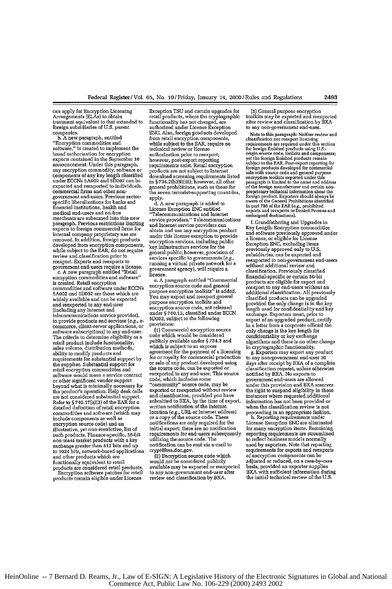**can** apply for Encryption Licensing treatment equivalent to that extended to foreign subsidiaries of U.S. parent companies.<br>b. A new paragraph, entitled

**b. A** new paragraph, entitled "Encryption commodities and software," is created to implement the broad authorization for encryption exports contained in the September 16 announcement. Under this paragraph, any encryption commodity, software or components of **any** key length classified under **ECCNs 5A002** and **5D02** can be exported and reexported to individuals, commercial firms and other nongovernment end-users. Previous sectorspecific liberalizations for banks and financial institutions, health and medical end-users and on-line merchants ao subsumed into this new paragraph. Previous restrictions limiting exports to foreign commercial firms for internal company proprietary use **are** removed. In addition, foreign products developed from encryption components, while subject to the EAR, do not require review and classification prior to reexport. Exports and reexports to government end-users require a license.

c. A new paragraph entitled "Retail encryption commodities and software" is created. Retail encryption commodities and software under ECCNs **5Ae02** and **5D02** me those which are widely available and can be exported **and** reexported to any end-user telecommunications service provider), to provide products and services (e.g., *e*commerce, client-server applications, or software subscriptions) to any end-user. The criteria to determine eligibility as a retail product include functionality, sales volume, distribution methods, ability to modify products and requirements for substantial support by the supplier. Substantial support for retail encryption commodities and software wold mean a service contract or other significant vendor support beyond what is minimally necessary for the product's operation. Help desk calls<br>are not considered substantial support. Refer to § 740.17(a)(3) of the EAR for a detailed definition **of** retail encryption cormmodities and software (which may include components as well as encryption source code) and an illustrative, yet non-restrictive, list of such products. Finance-specific, 56-bit non-mass market products with a **key** exchange greater than 512 bits and up to 1024 bits, network-based applications and other products which **are** functionally equivalent to retail

products are considered retail products. Encryption software patches for retail products remain eligible under License

Exception **TSU** and certain upgrades for retail products, where the cryptographic functionality has not changed, **ace** authorized under License Exception **ENC.** Also, foreign products developed from retail encryption components, while subject to the EAR, require no technical review or license authorization prier to reexport; however, post-export reporting requirements exist. Retail encryption products are not subject to Internet download screening requirements listed in § 734.2(b)(9)(iii); however, all other general prohibitions, such as those for the seven terrorist-supporting countries, apply.

**d. A** new paragraph is added to License Exception **ENC** entitled "Telecommunications and Internet service providers." Telecommunications **and** nteenet service providers can obtain and use any encryption product under this license exception to provide encryption services, including public key infrastructure services for the general public; however, provision of services specific to governments (e.g.,<br>running a virtual private network for a government agency), will require a license.

e. A paragraph entitled "Commercial encryption source code and general purpose encryption toolkits" is added. You may export and reexport general purpose encryption toolkits and encryption source code, not released under § 740.13, classified under ECCN 5Do02, subject to the following provisions:

**(1)** Commercial encryption source code which would be considered publicly available under § **734.3** and which is subject to an express agreement for the payment of a licensing fee or royalty for commercial production or sale of any product developed using the source code, **can** be exported or reexported to any end-user. This source<br>code, which includes some<br>"community" source code, may be "community" source code, may be<br>exported or reexported without review and classification, provided you have<br>submitted to BXA, by the time of export<br>written notification of the Internet<br>location (e.g., URL or Internet address) location (e.g., URL or Internet address)<br>or a copy of the source code. These notifications are only required for the initial export; there are no notification requirements for end-users subsequently utilizing the source code. The notification can **be** sent via e-mail to crypt@bxa.doc.gov.

(2) Encryption source code which would not **be** considered publicly available may be exported or reexported to any non-government end-user after review and classification **by** BXA. **(3)** General purpose encryption toolkits may be exported **and** reexported after review and classification by **BXA** to **any** non-government end-user.

**Note** to this paragraph: Neither review **and** elssification **nor** reexport licensing requirements are required **under** this section for foreign finished products using **U.S.-** origin source code, toolkits and components; sale with source cours and general purpose<br>or and general purpose of any paragraph is limited to the small address<br>of the foreign manufacturer and extain non-<br>proprietary technical information about the<br>proprietary technic exports and reexports and reexports and reexports and reexports to Denied Persons and embargoed destinations.

. Grandfathering and Upgrades in Key Length: Encryption commodities and software previously approved under a license, or eligible for License Exception ENC, excluding items previously approved only to **U.S.** subsidiaries, can **be** exported and reexported to non-government end-users without additional review and classification. Previously classified financial-specific or certain 56-bit products are eligible for export and reexport to any end-users without an<br>additional classification. All previously classified products can be upgraded provided the only change is in the key length used for confidentiality **and** key exchange. Exporters must, prior to expert of an upgraded product, certify in a letter from a corporate official *the* only change is the key length **for** confidentiality or key exchange algorithms and there is no other change

in cryptographic functionality.<br>g. Exporters may export any product days after mceipt **by** BXA of a complete classification request, unless otherwise notified by BXA. No exports to government end-users are allowed under this provision and BXA reserves the right to suspend eligibility in those instances where requested additional information has not been provided or when the classification review is not proceeding in an appropriate fashion. h. Reporting requirements under

License Exception **ENC** are eliminated for many encryption items. Remaining reporting requirements are streamlined to reflect business models normally used **by** exporters. Note that reporting used by exporters. Note that reporting<br>requirements for exports and reexports of encryption components can be adjusted or reduced, on **a** case-by-case basis, provided an exporter supplies BXA with sufficient information during the initial technical review of the U.S.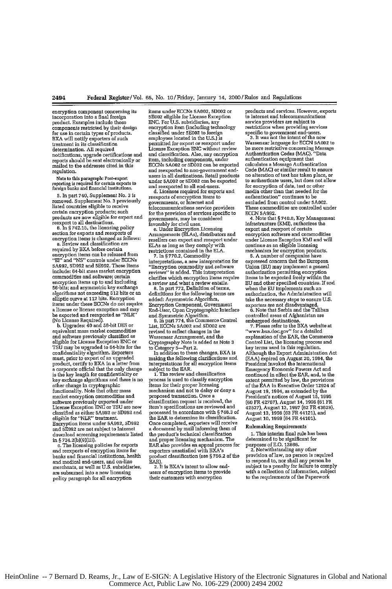encrypton component concerning its incorporation into a final foreign producL Examples include those components restricted **by** their design for use in certain types of products. BXA will notify exporters of such treatment in its classification determination. **All** required notifications, upgrade certifications and reports should **be** sent electronically or mailed to the addresses cited in this mailed to the addresses cited in this<br>regulation.

Note **to** this paragraph: Pest-export reporting is required fer certain exports to foreign banks and finsacial institutions.

**5.** In part 740, Supplement No. **3** is removed. Supplement No. **3** previously listed countries eligible to receive certain encryption products; such products are now eligible for export and reexport to all destinations. e. In **§** 742.15, the licensing policy

section for exports and reexports of encryption items is changed as follows: a. Review and classification *are*

required by BXA before certain<br>encryption items can be released from<br>"El" and "NS" controls under ECCNs<br>5A992, 5D992 and 5E992. These items include: 64-bit mass market encryption commodities and software; certain encryption items up to and including 56-bits; and asymmetric key exchange algorithms not exceeding **512** bits or an elliptic curve at 112 bits. Encryption items under these ECCNs do not require a license or license exception and may be exported and reexported as *"NLR'* (No License Required). **b.** Upgrades: 40 and 26-bit **DES** or

equivalent mass market commodities and software previously classified as eligible for License Exception ENC or **TSU** may be upgraded to 64-bits for the confidentiality algorithm. Exporters must, prior to export of an upgraded<br>product, certify to BXA in a letter from a corporate official that the only change is the key length for confidentiality or **key** exchange algorithms and there is no other change in cryptographic functionality. Note that other mass market encryption commodities and software previously exported under License Exception **ENG** or TSU are **now** classified **as** either **5A992** or **5D992** and eligible for "NLR" treatment. Encryption items under **5A992, 5D992** and **5E992** are not subject to Internet download screening requirements listed

in § 734.2(b)(9)(iii).<br>c. The licensing policies for exports<br>and reexports of encryption items for banks and flnancial institutions, health **and** medical end-users, and on-line merchants, as well as U.S. subsidiaries, **we** subsumed into a **new** licensing policy paragraph for all encryption

items under **ECCNs tA002, 5D002** or **5EOe2** eligible for License Exception **ENC.** For U.S. subsidiaries, **any** encryption item (including technology classified under **5E002** to foreign employees located in the **U.S.)** is permitted for export or reexport under License Exception **ENC** without review and classification. Also, any encryption item, including components, under ECCNs **5A002** or **5DO02** can be exported and reexported to non-government endusers in all destinations. Retail products under 5A002 or **5D002** can **be** exported and reexported to all end-users. d. Licenses required for exports and

reexports of encryption items to governments, or Internet **and** telecommunications service providers for the provision of services specific to governments, may be considered favorably for civil uses. e. Under Encryption Licensing Arrangements (ELAs), distributors and

resellers can export and reexport under ELAs as long as they comply with restrictions contained in the ELA.

7. In **§** 770.2, Commodity interpretations, a new interpretation for "Encryption commodity and software reviews" is added. This interpretation clarifies which encryption items require a review and what a review entails.

8. In part 772, Definition of terms, definitions for the following terms **are** added: Asymmetric Algorithm, Encryption Component, Government End-User, Open Cryptographic Interface

and Symmetric Algorithm. **9.** in part 774, the Commerce Control List, ECCNs **5AO02** and 5002 are revised to reflect changes in the Wassenaar Arrangement, and the Cryptography Note is added as Note 3<br>to Category 5—Part 2.<br>In addition to these changes, BXA is

making the following clarifications and interpretations for all encryption items subject to the EAR.

1. The review and classification process is used to classify encryption items for their proper licensing mechanism and not to delay or deny a proposed transaction. Once a classification request is received, the item's specifications **are** reviewed and processed in accordance with **§** 748.3 of the EAR to determine its classification. Once completed, exporters will receive a document by mail informing them of the product's technical classification and proper licensing mechanism. The EAR also provides an appeal process for exporters unsatisfied with BXA's product classification (see **§ 75.2** of the

2. It is BXA's intent to allow end**users of** encryption items to provide their customers with encryption

products and services. However, exports to Internet and telecommunications service providers are subject to restrictions when providing services

specific to government end-users. **3.** It was not the intent of the *new* Wassencar language **for ECCN 5AO02** to be more restrictive concerning Message Authentication Codes **(MAC).** "Data authentication equipment that calculates a Message Authentication Code (MAC) **or** similar result to ensure no alteration of text has taken place, or to authenticate users, but does not allow for encryption of data, text or other media other than that needed **for** the authentication" continues to be excluded from control **under 5A002.** These commodities are controlled under **ECCN 5A992.** 4. Note that **§ 740.8,** Key Management

infrastructure (KMI), authorizes **the** export and reexport of certain encryption software and commodities under License Exception *KMI* and will continue as an eligible licensing

mechanism for encryption products. **5.** A number of companies have expressed concern that the European Union (EU) may implement a general authorization permitting encryption items to be exported freely within the EU and other specified countries. If and when the Eli implements such an authorization, the Administration will take the necessary steps to ensure U.S. exporters are not disadvantaged. 6. Note that Serbia and the Taliban

controlled areas of Afghanistan are **7.** Please refer **to** the BXA website at

"wsw.bxa.doc.gv" for a detailed explanation of the EAR, the Commerce Control List, the licensing process and key terms used in **this** regulation. Although the Export Administration Act (EAA) expired on August 20,1994, the President invoked the International Emergency Economic Powers Act and continued in effect the EAR, and, to the extent permitted by law, the provisions of the EAA in Executive Order 12924 of August **19,** 1994, as extended by the President's notices of August **15,1995** (60 FR **42767),** August 14, **1996 (61** FR 42527), August **13, 1997 (62** FR43629), August *13,* **19908** (62 FR 44121), and August **10, 1999 (64** FR 44101).

## Rulemaking Requirements

**1.** This interim final rule has been determined to be significant **for**

purposes of E.O. **12866.** 2. Notwithstanding any other provision of law, no person is required to respond to, nor shall **any** person be subject to **a** penalty for failure **to** comply with a collection of information, subject to the requirements of the Paperwork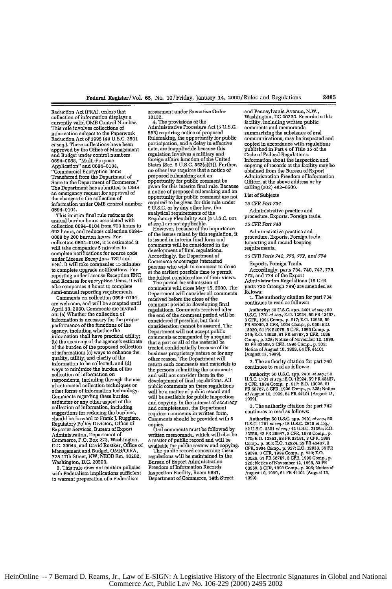Reduction Act (PRA), unless that collection of information displays a currently valid **OMB** Control Number. This rule involves collections of information subject to the Paperwork Reduction Act of **1995** (44 U.S.C. **3501** *at seq.).* These collections have been approved by the Office of Management and Budget under control numbers 060 4-0088, "Multi-Purpose Application" and 094-0104, "Connercial Encryption Items Transferred from the Department of State to the Department of Commerce." The Department has submitted to OMB an emergency request for approval of the changes to the collection of information under OMB control number

0694-0104. This interim final rule reduces the annual burden hours associated with collection 0t94-0104 from **703** hours **to 602** hours, and reduces collection 0694- 0088 by 200 burden hours. For collection 0594-0104, it is estimated it will take companies 5 minutes to complete notifications for source code under **License** Exceptions **TSU** and **ENG.** It will take companies **15** minutes to complete upgrade notifications. For reporting under License Exception **ENC and** licenses for encryption items, it will take companies 4 **hours** to complete semi-annual reporting requirements.

Comments **on** collection 0694-0104 are welcome, and will be accepted until April **13, 2000.** Comments **are** invited en: (a) Whether the collection of information is necessary for the proper information is necessary for the proper<br>performance of the functions of the .<br>agency, including whether the<br>information shall have practical utility **Ci)** the accuracy of the agency's estimate of the burden of the proposed collection of information; (c) ways to enhance the quality, utility, and clarity of the information to be collected; and **(d)** ways to minimize the burden of the collection of information on respondents, including through the use of automated collection techniques or other forms **of** information technology. Comments regarding these burden estimates or any other aspect of the collection of information, including suggestions **for** reducing the burdens, should be forward to Frank **J.** Ruggiero, Regulatory Policy Division, Office of Exporter Services, Bureau of Export Administration, Department of Commerce, P.O. Box 273, Washington, D.C. 20044, and David Rostker, Office of Management and Budget, OMB/OIRA, **725** 17th Street, NW, NEOB Rm. 10202, Washington, **D.C.** 20503.

**3.** This rule does not contain policies with Federalism implications sufficient to warrant preparation of **a** Federalism assessment under Executive **Order** 13132.

4. The provisions of the Administrative Procedure Act **(5** U.S.C. **553)** requiting notice of proposed Rulemaking, the opportunity for public participation, and a delay in effective date, **are** inapplicable because this regulation involves a military and foreign affairs function of the United States (Sec. **5** U.S.C. 553(a)(1)). Further, no other law requires that a notice of proposed rulemaking and an opportunity for public comment be given **for** this interim final rule. Because a notice of proposed rlemaking **and** an opportunity for public comment are no<br>required to be given for this rule under **5** U.S.C. or by any other law, the analytical requirements of the Regulatory Flexibility Act (5 U.S.C. 601

However, because of the impertnce of the issues raised by this regulation, it is issued in interim final form and comments will be considered in the development of final regulations. Accordingly, the Department of Commerce encourages interested persons who wish to comment to do so persons who wish to comment to do so<br>at the earliest possible time to permit the ftllest consideration of their views. The period for submission of

comments will close May 15, 2000. The Department will consider all comments received before the close of the comment period in developing final regulations. Comments received after regulations. Comments received after<br>the end of the comment period will be considered **if** possible, but their consideration cannot be assured. The Department will not accept public comments accompanied by a request that a part or all of the material be treated confidentially because of its business proprietary nature or for **any** other reason. The Department will return such comments and materials to the persons submitting the comments **and** will not consider them in the development of final regulations. All development of final regulations. All<br>public comments on these regulations will be a matter of public record and will be available for public inspection and copying. In the interest of accuracy **and** completeness, the Department requires comments in written form. Comments should be provided with **5** copies. Oral comments must be followed by

written memoranda, which will also be a matter of public record and will be available for public review and copying. The public record concerning these

regulations will be maintained in the Bureau of Export Administration Freedom of Information Records Inspection Facility, Room **6881,** Department of Commerce, 14th Street **and** Pennsylvania Avenue, N.W., Washington, DC **20230.** Records in this facility, including written public comments and memoranda summarizing the substance of oral communications, may be inspected and copied in accordance with regulations published in Part 4 of Title **15** of the Code of Federal Regulations. Information about the inspection and copying of records at the facility may be obtained from the Bureau of Export Administration Freedom **of** Information Officer, at the above address or by calling (202) 482-0500.

## List of Subjects

*15 CFR Part 734*

Administrative practice **and** procedure, Exports, Foreign trade.

## *15 CFR Part 740*

Administrative practice and procedure, Exports, Foreign trade, Reporting and record keeping requirements.

*15 CFR Paris* 742, *770,* 772, *and 774*

Exports, Foreign Trade.

Accordingly, paris 734, 740, 742, *770,* 772, and 774 of the Export Administration Regulations **(15** CFR parts **730** through **799) are** amended as follows:

1. The authority citation for part 734 continues to read as follows:

Authority: 50 U.S.C. app. 2401 of seq.; 50<br>U.S.C. 1701 of seq.; E.O. 12924, 59 FR 43437<br>3 CFR, 1994 Comp., p. 917; E.O. 12938, 59<br>FR 59099, 3 CFR, 1994 Comp., p. 950; E.O.<br>13020. 61 FR 54079. 3 CFR. 1996 Comp. p. 219; **E.O. 13026. 61** FR **58767,3** CFR, **199** Comp., **p. 228;** Notice of November 12,1998, **63** FR **63589. 3** CFR, **1998 Camp., p. 305;** Notice of August **10, 1999,** 64 FR 44101 (August **13,1999).**

2. The authority citation for part 740 continues **to** read as follows:

Authority: **50 U.S.C.** app. 2401 *at seq.; 50* U.S.C. 1701 *at* **seq.;E.O.** 12924, **59** FR 43437, **3** CFR, 1994 Comp., **p. 917; E.O. 13026, 51** FR **58767, 3** CFR, **1996** Comp., **p.** 228; Notce ofAuguast **10,1999,** 64 FR44101 (August **13, loso).**

**3.** The authority citation for part 742 continues to read as follows:

Authority: 50 U.S.C. app. 2401 *et seq.*; 50<br>U.S.C. 1701 *et seq.*; 18 U.S.C. 2510 *et seq.*;<br>22 U.S.C. 3201 *et seq.*; 42 U.S.C. 2139a; E.O<br>12056, 43 FR 20947, 3 CFR, 1378 Comp., p.<br>179- E O. 12851, 58 FR 33181, 3 CFR, 19 Comp., p. 608; E.O. 12924, 59 FR 43437, 3<br>Comp., p. 608; E.O. 12924, 59 FR 43437, 3<br>58099, 3 CFR, 1994 Comp., p. 950; E.O.<br>13026, 61 FR 58767, 3 CFR, 1996 Comp., p.<br>228; Notice of November 12, 1998, 83 FR<br>63583, 3 CFR. 199 August *10,* **1099,** 64 FR 44101 (August **13, 1i99).**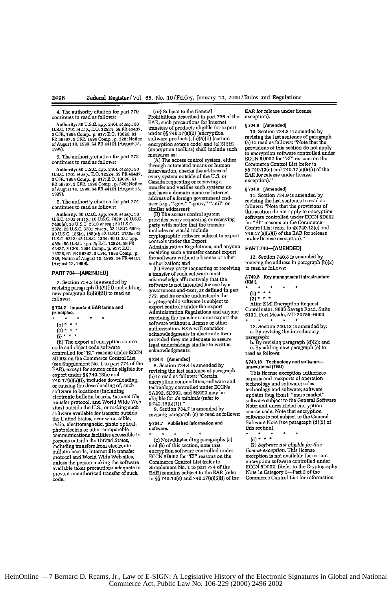4. The authority citation for part 770 continues to read as follows:

Authority: 50 U.S.C. app. 2401 *et seq.*; 50<br>U.S.C. 1701 *et seq.;* E.O. 12924, 59 FR 43437<br>3 CFR, 1994 Comp., p. 917; E.O. 13026, 61<br>FR 58767, 3 CFR, 1996 Comp., p. 228; Notice<br>of August 10, 1999, 64 FR 44101 (August 13,<br>

**5.** The authority citation **for** part **772**

continues to read as follows:<br>Authority: 50 U.S.C. app. 2401 *et seq.*; 50<br>U.S.C. 1701 *et seq.*; E.O. 12924, 59 FR 43437,<br>3 CFR, 1994 Comp., p. 917; E.O. 13026, 51<br>FR 58767, 3 CFR, 1995 Comp., p. 226; Notice<br>0f August 10,

**6.** The authority citation for part **774** continues to read as follows:

Authority: 50 U.S.C. app. 2401 et seq.; 50<br>U.S.C. 1701 et seq.; 10 U.S.C. 7420: 10 U.S.C. 7430(e); 10 U.S.C. 2510 et seq.; 22 U.S.C.<br>7430(e); 10 U.S.C. 2510 et seq.; 22 U.S.C. 6004;<br>2870. 22 U.S.C. 32301 et seq.; 22 U.S.C.

## PART 734-[AMENDED]

**7.** Section 734.2 is amended by revising paragraph (b)(9)(ii) **mid adding** new paragraph (b)(9)(iii) to read **as** follows:

### 5734.2 Important EAR terms **and** principles.

- 
- 
- $(b) * * * *$ <br>(9) \* \* \*<br>(i) \* \* \*
- 

(it) The export of encryption source code and object code software controlled **for "Et"** reasons under ECCN **5D002** on the Commerce Control List (see Supplement No. 1 to part 774 of the EAR), except for source code eligible for export under **§§** 740.13(e) and 740.17(a)(5)(i), includes downloading, or causing the downloading of, such software to locations (including electronic bulletin boards, Interet file transfer protocol, and World Wide Web sites) outside the U.S., or making such software available **for** transfer outside the United States, over wire, cable, radio, electromagnetic, photo optical, photoelectric or other comparable communications facilities accessible to persons outside the United States, including transfers from electronic bulletin boards, Internet file transfer protocol and World Wide Web sites, unless the person making the software available takes precautions adequate to prevent unauthorized transfer of such code.

(iii) Subject to the General

Prohibitions described in part **736** of the EAR, such precautions for Internet transfers of products eligible for export nder **§§** 740.17(a)(2) (encryption software products), (a)(5)(ii) (certain<br>encryption source code) and (a)(5)(iii) (encryption toolkits) shall include such measures as:

**(A)** The access control system, either through automated means or human intervention, checks the address of every system outside of the U.S. or Canada requesting or receiving a transfer and verifies such systems do not have a domain name or Internet address of a foreign government end-<br>user *(e.g., ".gov," ".gouv," ".mil"* or<br>similar addresses);

[B) The access control system provides every requesting or receiving party with notice that the transfer includes or would include cryptographic software subject to export controls under the Export Administration Regulations, and anyone receiving such a transfer cannot export the software without a license or other authorization; and

**(C)** Every party requesting or receiving a transfer of such software must acknowledge affirmatively that the software is not intended for use by a government end-user, as defined in part **772,** and he or she understands the cryptographic software is subject to export controls under the Export Administration Regulations and anyone receiving the transfer cannot export the software without a license or other authorization. BXA will consider acknowledgments in electronic form provided they are adequate to assure legal undertakings similar to written acknowledgments.

## §734.4 **[Amended]**

**8.** Section 734.4 is amended by revising the last sentence **of** paragraph **(b)** to read as follows: "Certain encryption commodities, software and technology controlled under ECCNs **5A992, 5992,** and **5E992** maybe eligible for *de minimis* (refer to **§ 742.15(b)(1))."**

**9.** Section **734.7** is amended by revising paragraph **(c)** to read as follows:

### **§734.7 Published information and** software.

(c) Notwithstanding paragraphs (a) and **Cb)** of this section, note that encryption software controlled under **ECcN** 3oD02 for "El" reasons on the Commerce Control List (refer to Supplement No. 1 to part 774 of the EAR) remains subject to the EAR (refer to **§§** 740.13(e) and 740.17(a)(5)(i) of the EAR for release under license exception).

## §734.8 **[Amended]**

**10.** Section 734.8 is amended by revising the last sentence of paragraph (a) to read as follows: "Note that the provisions of this section do not apply to encryption software controlled under ECCN 5D02 for "El" reasons on the Commerce Control List (refer to **§§** 740.13(e) and 740.17a)(5)(i) of the EAR for release under license exception)."

## §734.9 [Amended]

**11.** Section **734.9** is amended by revising the last sentence to read as follows: "Note that the provisions of this section do not apply to encryption software controlled **under** ECCN 5D002 for "El" reasons on the Commerce Control List (refer to **§§** 740.13(e) and 740.17(a)(S)(i) of the EAR for release uder license exception)."

## **PART 740-(AMENDED]**

12. Section 740.8 is amended by revising the address in paragraph (b)(2) to read as follows:

## §740.8 Key management infrastructure **(**f) 740.<br>**(KMI**).<br>\*

 $\star$ 

- $\star$  $\star$
- (2)
- 

Attn: KMI Encryption Request Coordinator, **980** Savage Road, Suite **6131,** Fort Meade, MD **20755-6000.**

**13.** Section 740.13 is amended by: a. **By** revising the introductory

paragraph;<br>
b. By revising paragraph **(d)**(2); and<br>
c. By adding new paragraph (e) to read as follows:

## §740.13 Technology and software- unrestricted **(TSU)**

This license exception authorizes exports and reaxports of operation technology and software; sales technology and software; software updates (bug fixes); "mass market" software subject to the General Software Note; and unrestricted encryption source code. Note that encryption software is not subject to the General Software Note (see paragraph (d)[2) of this section).

 $\star$ **(d)**

(2) *Software not eligible for this license exception.* This license exception is not available for certain encryption software controlled under<br>ECCN 5D002. (Refer to the Cryptography ECCN 5D002. (Refer to the Cryptograp)<br>Note in Category 5—Part 2 of the<br>Commerce Control List for information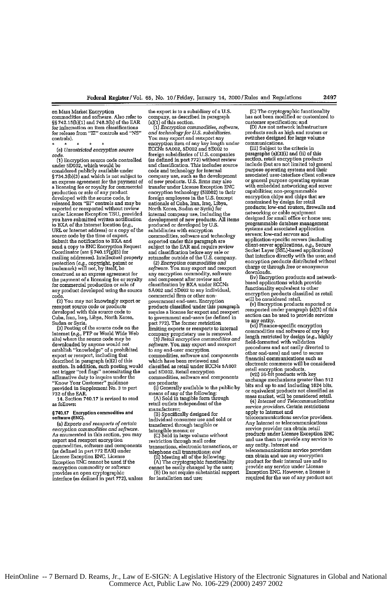on Mass Market Encryption commodities **and** software. Also refer to §§ 742.15 h)(1) and **748.3(b) of** the EAR **for** information on item classifications for release from "EI" controls and "NS" controls).  $\star$  $\star$ 

*(el Unrestricted encryption source* code. **(1)** Encryption source code controlled

snder **5Dt02,** which would be considered publicly available under § 734.3(b)(3) and which is not subject to an express agreement for the payment of<br>a licensing fee or royalty for commercial production or sale of any product developed with the source code, is<br>released from **"E!" controls and may be**<br>exported or reexported without review<br>under License Exception TSU, provided<br>you have submitted written notification to *BA* of the Internet location *(e.g.,* URL or Internet address) or a copy of the source code by the time of export. source code by the time of export.<br>Submit the notification to BXA and send a copy to **ENG** Encryption Request Coordinator (see **§** 740.17(g)(5) for mailing addresses). Intellectual property protection (e.g., copyright, patent or<br>trademark) will not, by itself, be construed as **an** express agreement for the payment of a licensing fee **or** royalty for commercial production or sale of any product developed using the source

code.<br>(2) You may not knowingly export or<br>reexport source code or products<br>developed with this source code to Cuba, Iron, Iraq, Libya, North Korea,

Sudan or Syria. **(3)** Posting of the source code on the internet *(e.g.,* FTP or World Wide Web site) where the source code may be downloaded by anyone would not establish "knowledge" of a prohibited export or reexport, including that described in paragraph (e)(2) of this section. **In** addition, such posting would not trigger "red flags" necessitating the affirmative duty to inquire under the *"Know* Your Customer" guidance provided in Supplement No. **3** to part

732 of the EAR. 14. Section **740.17** is revised to read as follows:

## **§740.17 Enceryption commodities and software (ENC).**

*(a) Exports and reexports of rertain encryption commodities and software.* As enumerated in this section, you may expart **and** reexport encryption commodities, software and components (as defined in part **772** EAR) under License Exception **ENC.** License Exception **ENC** cannot be used if the encryption commodity or software provides an open cryptographic interface **(as** defined in part 7721, **unless**

the export is to a subsidiary of a **U.S.** company, as described in paragraph (a)(1) of this section.

(1) *Encryption commodities, software,*  $and$  *technology for U.S. subsidiaries*. You may export and reexport any encryption item of **any** key length under ECCNs 5A002, **5Dt02** and 5E002 to foreign subsidiaries of U.S. companies (as defined in part 772) without review and classification, This includes source code and technology for internal code and technology for internal<br>company use, such as the development of new products. U.S. firms may also transfer under License Exception ENC encryption technology **(5E002)** to their foreign employees in the U.S. (except nationals of Cuba, Iron, Iraq, Libya, North Korea, Sudan or Syria) for internal company use, including the development of new products. All items produced or developed by U.S. subsidiaries with encryption commodities, software and technology exported under this paragraph **ore** subject to the EAR and require review and classification before any sale or retransfer outside of the **U.S.** company. *(2) Encryption commodities and*

<sup>2</sup> (2) *Encryption commodities and* software. You may export and reexport any encryption commodity, software and component after review and classification by BXA under ECCNs 5A002 and 5D002 to any individual, commercial firm or other nongovernment end-user. Encryption products classified under this paragraph require a license for export and reexport to government end-users (ae defined in part 772). The former restriction<br>limiting exports or reexports to internal

company proprietary use is removed. (3) Retail encryption commodities and *software.* You may export and reexport to any end-user encryption commodities, software and components which have been reviewed and classified as retail under ECCNs **5A002** and **5D02.** Retail encryption commodities, software and components are products:

(i) Generally available to the public by means of any of the following:<br>(A) Sold in tangible form through

retail outlets independent of the manufacturer;<br>(B) Specifically designed for

 $\operatorname{individual}$  consumer use and sold or transferred through tangible or

intangible means; or **(C)** Sold in large volume without restriction through mail order transactions, electronic transactions, or telephone call transactions; and

(ii) Meeting all of the following: (A) The cryptographic functionality

cannot be easily changed by the user; **B)** Do not require substantial support for installation and use; **(C)** The cryptographic functionality has not been modified or customized to

customer specification; and **(D)** Are not network infrastructure products such as highed for large volume<br>communications.<br>(iii) Subject to the criteria in

paragraphs (a)(3)(i) and (ii) of this section, retail encryption products include (but are not limited to) general purpose operating systems and their associated user-interface client software or general purpose operating systems with embedded networking and server capabilities; non-programnable encryption chips and chips that are constrained by design for retail products; low-end routers, firewalls and networking or cable equipment designed for small office or home use; programmable database management systems and associated application servers; low-end servers and application-specific servers (including client-server applications, e.g., Secure Socket Layer (SSL)-based applications) that interface directly with the user; and encryption products distributed without charge or through free or anonymous

downloads. (iv) Encryption products and network-based applications which provide functionality equivalent to other encryption products classified as retail<br>will be considered retail.<br>(v) Bncryption products exported or<br>reexported under paragraph (a)(3) of this

section can be used to provide services

(vi) Finance-specific encryption commodities and software of **any** key length restricted by design (e.g., highly field-formatted with validation procedures and not easily diverted to other end-uses) and used to secure financial communications such as electronic commerce will be considered retail enryption products. (vii) 56-bit produts with key

exchange mechanisms greater than **512** bits and up to and including 1024 bits, or equivalent products not classified as mass market, will be considered retail. *(4) Internet and Telecommunications service providers.* Certain restrictions

apply to Internet and telecommunications service providers.

Any Internet or telecommunications service provider can obtain retail products under License Exception ENC and use them to provide any service to **any** entity. Internet and

telecommunications service providers can obtain and use **any** encryption product for their internal use and to provide any service under License Exception **ENC.** However, a license is required for **the** use of any product not

HeinOnline -- 7 Bernard D. Reams, Jr., Law of E-SIGN: A Legislative History of the Electronic Signatures in Global and National Commerce Act, Public Law No. 106-229 (2000) 2497 2002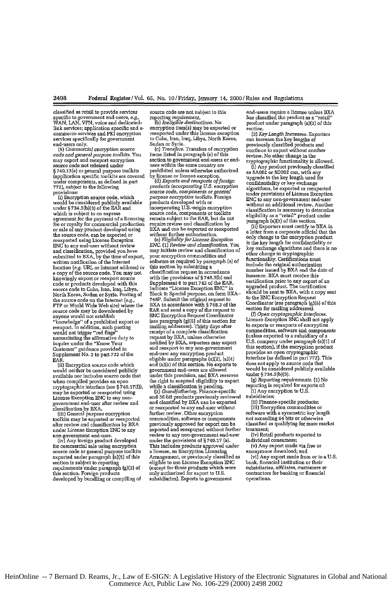classified as retail to provide services source code are not subject to this send-users require a license unless BXA<br>specific to government end-users, *e.g.,* reporting requirement. In has classified the product as a "reta .<br>WAN, LAN, VPN, voice and dedicated - (b) *Ineligible destinations.* No sproduct under paragraph (a)(3) of this<br>link services; application specific and e-encryption item(s) may be exported or section.

code and general purpose toolkits. You items listed in paragraph (a) of this vertical reception section to government end-users or end-<br>sample the control of the control section of the same country are controlled to the c 772), subject to the following products incorporating U.S. encryption algorithms, be exported or reexported<br>movisions:

agreement for the payment of a licensing remain subject to the EAR, but do not<br>from an any product of the payment of a licensing remain subject to the EAR, but do not<br>from a comparison of the payment of a licensing product the source code, can be exported or without further authorization.<br>
reasyported using License Experience and the experience of the encryption produce<br>
ENC to any end-user without review ENC. (1) Review and classification.

when compiled provides an open<br>cryptographic interface (see § 740.17(f)),<br>may be exported or reexported using<br>License Exception ENC to any non-

commerce services and **PKI** encryption reexported **under this** license exception **(3)** *KeyLength Increases.* **Exporters** services specifically **for** goveronent to Cuba, Iran, Iraq, Libya, North Korea, **can** increase the **key** lengths of

provisions:<br>
was code, components or general<br>
(i) Encryption source code, which<br>
with the provisions: Figure 10 and the provisions of License Exception<br>
(with the same products developed with or<br>
which and products develop

not to any suitable mand classification of the contract of the exchange algorithms and the sister and classification of other change in cryptographic<br>submitted to BXA, by the time of export, your encryption commodities and where the conjugator of the method of the conjugator of the conjugator contracts include the original authorization<br>a copy of the source code. You may not classification request in accordance<br>a copy of the source code. You knowingly export or export of a subsection of a correlation of the source code. You may not classification request in accordance issuance. BXA must receive this source code. You may not consider the provisions of § 748.3(b ALOWER SCHOOL SERVICE SUITS AND DESCRIPTION OF A CONSUMING THE CONSUMING SUITS AND THE CONSUMING SUITS AND SUITS AND THE CONSUMING SUITS AND THE CONSUMING THE CONSUMING SUITS AND THE CONSUMING THE CONSUMING THE CONSUMING T source code to Cuba, Iran, Iraq, Luya,<br>North Korea, Submit the SMC and The Internet (e.g., 748P. Submit the original request to the ENC Encryption Request<br>the source code on the Internet (e.g., 748P. Submit the original re EAR and send a copy of the request to section for mailing addresses).<br>ENC Encryption Request Coordinator (f) Open cryptographic interfaces source code may be downloaded by <br>anyone would not establish and **ENC Encryption Request Coordinator** (f) *Open cryptographic interfaces.*<br>"Encryptographic interfaces. The coordinator (see paragraph (g)(5) of this section anyous would move summarize that the example of this section for License Exception ENC shall not apply<br>"knowledge" of a prohibited export or the expansion (g)(5) of this section for License Exception ENC shall not<br>reexport **would not trigger "red flags" receipt of a component of a component of a component red flags" receipt of a component vold not red flags" red flags" receipt of a component commodities, software and components components of** would use the use of the constanting the affiliation of a subsidiary of a subsidiary of a subsidiary of a subsidiary of a subsidiary of a subsidiary of a subsidiary of a subsidiary of a model of the mass of the model of th IDE SUGGETHER THE PROVIDED IN THE PROVIDED IN THE SECTION IS A SUBSTRATED IN THE ENGLISH OF THE ENGLISH CONTACT<br>Customer" guidance provided in and reexport to any non-government this section), if the encryption product<br>Cus Supplement No. 3 to part 732 of the end-user any encryption product supplement No. 3 to part 732 of the eligible under paragraphs (a)(2), (a)(4) output that the community of the end of the materials (a)(2), (a)(4) interface (as defined in part 772). This<br>(ii) Encryption source code which and (a)(5) of this section. No exports to does not apply to source code that<br>w would neither be considered publicly government end-users are allowed<br>
available nor includes source code that under this provision, and BXA reserves under § 734.3(b)(3).<br>
when compiled provides an open the right to suspen when compiled provides an open the right to suspend eligibility to export when the right to suspend eligibility to reporting is required for exports of (2) *Grandfathering*. Finance-specific (1) Any encryption to U.S.

(2) *Grandfathering.* Finance-specific (i) Any encryption **(2)** *Any encryption is finance-specific finance-specific film subsidiaries*; may be objected to the comparison of the control of the service of subsidiaries;<br>License Exception ENC to any non-<br>government end-user after review and and classified by BXA can be exported [ii] Finance-specific products classification **by BXA.** or reexported **to any** end-user without **(i)** Encryption commodities **or** Constrained and the symmetric control of the matter of the control of the control of the control of the control of the control of the symmetric key length to the symmetric control of the symmetric and control of the symmet toolkits may be exported or reexported commodities, software or components not exceeding 64 bits or otherwise<br>after review and classification by BXA previously approved for export can be classified as qualifying for mass m non-government end-user. The computed and resorted to the thermal tend-user and proported in the computed of the provisions of \$740.17 (a). This include the provisions of \$740.17 (a). This includes product developed to the (iv) Any foreign product developed under the provisions of §740.17 (a).<br>For commercial sale using encryption This includes products approved under  $(v)$  Any export made via free or<br>source code or general purpose toolkits a exported under paragraphient control under paragram (a) of the control of the control of the control of the control of the control of the control of the control of the control of the control of the control of the control o section is subject to reporting eligible to use License Exception ENC bank, financial institution or their<br>requirements under paragraph (g)(3) of (except for those products which were subsidiaries, affiliates, customers or **this** section. Foreign products only authorized for export to **U.S. contractors for** busking or financial developed **by** bundling or compiling of subsidiaries). Exports to government operations.

end-users only. **Sudan or Syria.** Proviously classified products and  $(5)$  *Commercial encryption source*  $(6)$  *Transfers*. Transfers of encryption  $\alpha$  continue to export without another code and general purpose toolkits

FTP or World Wide Web **site)** where the **BXA** in accordance with **§ 748.3 of** the Coordinator **(see** paragraph **(g)(5)** of **this**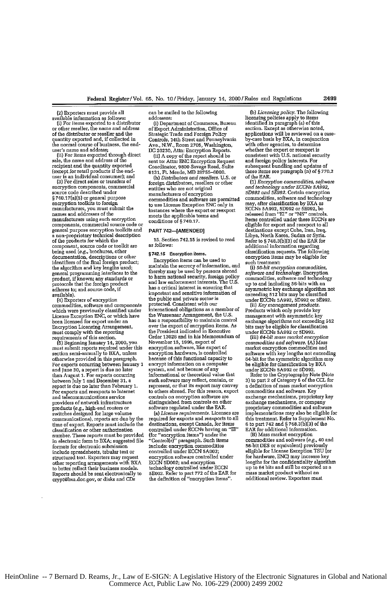(2) Exporters most provide all

available information as follows:<br>
(i) For items exported to a distributor<br>or other reseller, the name and address<br>
of the distributor or reseller and the quantity exported **and,** if collected in the normal course of business, the end-<br>user's name and address;

(ii) For items exported through direct<br>sale, the name and address of the<br>recipient and the quantity exported<br>(except for retail products if the end-<br>user is an individual consumer); and<br> $(3)$  For direct sales or transfers

(3) For direct sales or transfers of<br>encryption components, commercial source code described under § 740.17(a)(5) or general purpose encryption toolkits to foreign manufacturers, you must submit the names and addresses of the manufacturers using such encryption components, commercial soume code or general purpose encryption toolkits and <sup>a</sup>non-proprietary technical description of the products for which the component, **source** code or toolkit *are* being used (e.g., brochures, other documentation, descriptions or other identifiers of the final foreign product; the algorithm **and** key lengths used; general programming interfaces to the product, if known; any standards or protocols that the foreign product adheres to; and source code, if available).

(4) Exporters of encryption commodities, software and components which were previously classified under License Exception ENC, or which have been licensed for export **nder** an Encryption Licensing Arrangement, must comply with the reporting requirements of this section.

(5) Beginning January 14, 2000, you<br>must submit reports required under this<br>section semi-annually to BXA, unless otherwise provided in this paragraph For exports occurring between January 1 and June 30, a report is due no later<br>than August 1. For exports occurring<br>between July 1 and December 31, a report is due no later than February **1. For** exports and reexports to **Internet** and telecommunications service providers of network infrastructure products (e.g., high-end routers or switches designed for large volume communications), reports are due by the time of export. Reports must include **the** classification or other anthorization number. These reports must be provided in electronic form to BXA; suggested file formats for electronic submission include spreadsheets, tabular text or structured text. Exporters may request other reporting arrangements with BXA other reporting arrangements with BXA to better reflect their business models. Reports should **be** sent electronically to crypt@bxa.doc.gov, or disks and CDs

can be mailed to the following addresses:

(i) Department of Commerce, Bureau of Export Administration, Office of Strategic Trade and Foreign Policy Controls, 14th Street and Pennsylvania Ave., N.W., Room **2705,** Washington,

**DC 20230, Attn: Encryption Reports.**<br>
(ii) A copy of the report should be<br>
sent to: Attn: ENC Encryption Reques Coordinator, 9800 Savage Road, Suite **6131, Ft.** Meade, MD **2755-6000.**

*(h) Distributors and resellers.* **U.S.** or foreign distributors, resellers or other entities who are not original manufacturers of encryption commodities and software **are** permitted to use License Exception **ENC** only in instances where the export **or** reexport meets the applicable terms and conditions of **§ 740.17.**

## PART **742-[AMENDED]**

**15.** Section 742.15 is revised to read as follows:

## §742.15 Encryption items.

Encryption items can be used to maintain the secrecy of information, and thereby may **be** used by persons abroad to harm national security, foreign policy and law enforcement interests. The U.S. has a critical interest in ensuring that important and sensitive information of the public and private sector is protected. Consistent with our international obligations as a member of the Wassenaar Arrangement, the U.S.<br>has a responsibility to maintain control over the export of encryption items. As the President indicated in Executive Order **13025** and in **his** Memorandum of November **15, 1996,** export **of** encryption software, like export of encryption hardware, is controlled because of this functional capacity to encrypt information on a computer system, and not because of any informational or theoretical value that such software may reflect, contain, or represent, or that its export may convey to others abroad. For this reason, export controls on encryption software are distinguished from controls on other software regulated under the EAR.

*(a) License requirements.* Licenses are required for exports and reexports to all destinations, except Canada, for items controlled under ECCNs having an "El" (for "encryption items") under the "Control(s)" paragraph. Such items include: encryption commodities controlled under ECCN 5A002; encryption software controled under ECCN **5D002;** and encryption technology controlled under ECCN **5E002.** Refer to part 772 of the EAR for the definition of "encryption items".

*(b) Licensing policy.* The following licensing policies apply to items identified in paragraph (a) of this section. Except **as** otherwise noted, applications will be reviewed on a caseby-case basis by BXA, in conjunction with other agencies, to determine whether the export or reexport is consistent with U.S. national security **and** foreign policy interests. For subsequent bundling and updates of these items see paragraph **(n)** of § 770.2

of the EAR. *(1) Encryption commodities, software and* technology *under ECCNs* **5A992, 50992** and **5E992.** Certain encryption commodities, software and technology may, after classification by BXA as ECCNs **5A992, 5D992** or **5E992,** be released from **"El"** or "NS" controls. Items controlled under these ECCNs are eligible for export and reexport to all destinations except Cuba, Iran, Iraq, Libya, North Korea, Sudan or Syria. Refer to **§ 748.3(b)(3)** of the EAR for additional information regarding classification requests. The following encryption items may be eligible for

such treatment:<br>
(i) *56-bit encryption commodities,*<br> *software and technology.* Encryption<br> *commodities, software and technology* up to and including **56-bits** with an asymmetric **key** exchange algorithm not exceeding 512 bits maybe classified under ECCNs **5A992, 5D992** or 592. (ii) *Key* management *products.*

(ii) Key management products.<br>Products which only provide key management with asymmetric **key** exchange algorithms not exceeding 512 bits may be eligible for classification under **ECGNs 5A992** or **5D992. (ii)** *64-bit moss market eneryption*

*commodities and software.* (A) Mass market encryption commodities and software with key lengths not exceeding 54-bit for the symmetric algorithm may be eigible for classification by BXA under ECCNs **5A992** or **5D992.** Refer to the Cryptography Note (Note

**3)** to part 2 of Category **5** of the **CCL for** a definition of mass market encryption commodities and software. Key exchange mechanisms, proprietary key exchange mechanisms, or company proprietary commodities and software implementations may also be eligible for this treatment. Refer to Supplement No. **6** to part 742 and § **748.3(b)(3)** of the EAR **for** additional information.

**(B)** Mass market encryption commodities and software *(e.g.,* 40 and 56-bit **DES** or equivalent) previously eligible for License Exception TSU (or for hardware, **ENC)** may increase key for hardware, ENC) may increase key<br>lengths for the confidentiality algorithm<br>up to 64 bits and still be exported as a mass market product without an additional review. Exporters must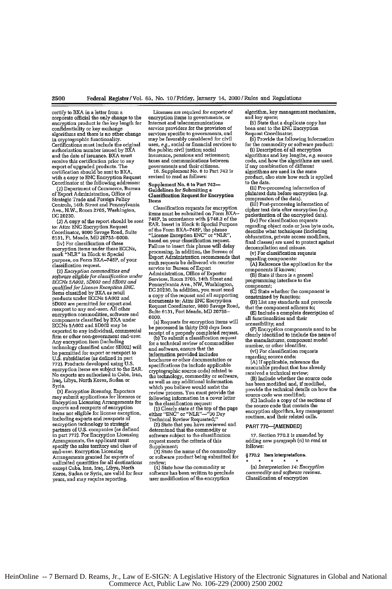certify to BXA **in** a letter from a corporate official the only change to the encryption product is the key length **for**

confidentiality or key exchange algorithms and there is no other change in cryptographic functionality. Certifications must include the original authorization number issued **by** BXA and the date of issuance. BXA must receive this certification prior to any export of upgraded products. The certification should be sent to BRA, with a copy to **ENC** Encryption Request Coordinator at the following addresses:

**(1)** Department of Commerce, Bureau of Export Administration, Office of Strategic Trade and Foreign Policy Controls, 14th Street and Pennsylvania Ave., N.W., Room **2705,** Washington, **[C 20230.**

*(2)* A copy of the report should be sent to: Attn: **ENC** Encryption **Request** Coordinator, **9800** Savage Road, Suite **61231,** Ft. Meade, MD **20755-6000.**

(iv) For classification of these encryption items under these ECCNs, mark "NLR" in Block **9:** Special purpose, on Form BXA-740P, of your classification request.<br>(2) *Encryption commodities and* 

<sup>121</sup>*Encryption commodities and software eligible for classification under ECPNs 5A002, 5D002 and aE002 and qualified for License Exception ENG.* Items classified by BXA as retail products under ECCNs **5A002 and 5D002 are** permitted for export and reexport to any end-user. All other encryption commodities, software and components classified by BXA under ECCNs **5A002** and **5D002** maybe exported to any individual, commercial firm or other non-government end-user.<br>Any encryption item (including technology classified under **SE002)** will be permitted for export or reexport to **U.S.** subsidiaries (as defined in part 772). Products developed using U.S. encryption items **are** subject to the EAR. No exports ace authorized to Cuba, Iran, No exports are authorized to Cuba, Iran,<br>Iraq, Libya, North Korea, Sudan or Syria.

*(3) Encryption licensing.* Exporters may submit applications for licenses or Encryption Licensing Arrangements for exports and reexports of encryption items not eligible for license exception, including exports and reexports **of** encryption technology to strategic partners of U.S. companies (as defined in part **772).** For Encryption Licensing Arrangements, the applicant must specify the sales territory and class of end-user. Encryption Licensing Arrangements granted for exports of unlimited quantities for all destinations except Cuba, Iran, Iraq, Libya, North Korea, Sudan or Syria, are valid for four years, and may require reporting.

Licenses **are** required for exports **of** encryption items to governments, or<br>Internet and telecommunications service providers for the provision of services specific to governments, and maybe favorably considered for civil uses, e.g., social or financial services to the public; civil justice; social insurance, pensions and retirement; taxes and communications between governments and their citizens. 15. Supplement No. **6** to Port 742 **is** revised to read as follows:

Supplement No. *to* Part 742- Guidelines for Submitting a Classification Request **for** Encryption Items

Classification requests for encryption items must **be** submitted on Form BXA-748P, in accordance with § **748.3** of the EAR. Insert in Block **9:** Special Purpose of the Form BXA-748P, the phrase "License Exception ENC" or "NLR", based on your classification request. Failure to insert this phrase will delay processing. In addition, the Bureau of Export Administration recommends that such requests be delivered via courier service to: Bureau of Export<br>Administration, Office of Exporte Services, Room 2705, 14th Street and Pennsylvania Ave., NW, Washington, **DC** 20230. In addition, you must send a copy of the request and all supporting documents **to:** Attn: **ENC** Encryption Request Coordinator, **9800** Savage Road, Suite **6131,** Fort Meade, MD **20755- 6000.**

(a) Requests for encryption items will be processed in thirty **(30)** days from

receipt of a properly completed request. **(b** To submit a classification request for a technical review of commodities and software, ensure that the information provided includes brochures or other documentation or specifications (to include applicable cryptographic source code) related **to** the technology, commodity or software, as well as any additional information which you believe would assist the review process. You must provide the following information in a cover letter

to the classification request:<br>
(1) Clearly state at the top of the page<br>
either "ENC" or "NLR"--"30 Day

Technical Review Requested;" (21 State that you have reviewed and determined that the commodity or software subject to the classification request meets the criteria of this

Supplement; (31 State the name of the commodity or software product being submitted for or software product being submitted for<br>review;

(4) State how the commodity or software has been written to preclude user modification of the encryption

algorithm, key management mechanism, and key space;

**(5)** State that a duplicate copy has been sent to the **ENC** Encryption Request Coordinator;

**(5)** Provide the following information for the commodity or software product: {i) Description of all encryption

algorithms and key lengths, e.g. source code, and how the algorithms are used. If any combination of different algorithms are used in the same product, also state how each is applied

to the data. (ii) Pre-processing information of

plaintaxt data before encryption (e.g. compression of the data).

(til) Post-processing information of cipher text data after encryption **(e.g.** packetization of the encrypted data).

(iv) For classification requests regarding object code or lava byte code, describe what techniques jincluding obfuscation, private access modifiers, final classes) are used to protect against decompilation and misuse.

(v) For classification requests

regarding components:

**(Al** Reference the application for the components if known;

(B) State **if** there is a general

programming interface to the

component;

**(C)** State whether the component is constrained by function;

**(D)** List **any** standards and protocols that the component adheres to;

**(E** Include a complete description of all functionalities and their

accessibility; and (F) Encryption components need to be clearly identified to include the name of the manufacturer, component model number, or other identifier.

(vi) For classification requests regarding source code:

**(A)** If applicable, reference the executable product that has already received a technical review;

(B) Include whether the **source** code has been modified and, if modified, provide the technical details on how the source code was modified;

**(C)** Include a copy of the sections of the source code that contain the encryption algorithm, key management<br>routines, and their related calls.

## PART **770-[AMENDED]**

**17.** Section **770.2** is amended by adding new paragraph (n) to read **as** follows:

### **§770.2** Item interpretations.  $\star$

*(n) Interpretation* 14; *Encryption commodity and software reviews.* Classification of encryption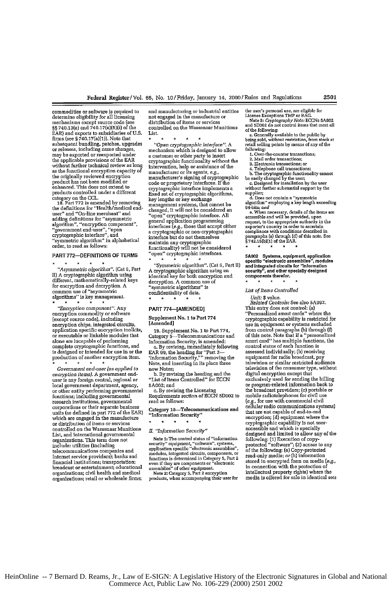commodities or software is required to and manufacturing or industrial entities the user's personal use, ae eligible for commodities or software is required to and manufacturing or industrial entities determine eligibility for all licensing not engaged in the manufacture or mechanisms except source code (see distribution of items or services Set 20.13(e) and  $\chi$ -10(a) and  $\chi$ -10(a) and  $\chi$ -10(a) and  $\chi$ -10(a) and  $\chi$ -10(a) and  $\chi$ -10(a) and  $\chi$ -10(a) and  $\chi$ -10(a) and  $\chi$ -10(a) and  $\chi$ -10(a) and  $\chi$ -10(a) and  $\chi$ -10(a) and  $\chi$ -10(a) and  $\chi$ -10(a

for encryption and decryption. A  $\sum_{\text{symmetric algorithms}}$  is<br>common use of "asymmetric algorithms" is algorithms" is key management.

*"Encryption component".* Any PART **774--AMENDED]** This entry does not control: (a) encryption chips, integrated circuits, [Amended] use in equipment **or** systems excluded application specific encryption toolkits, **19.** Supplement No. I to Part 774, from control paragraphs **(b)** through **(f)** or executable or linkable modules that Category 5-Telecommunications and of this note. Note that **if** a "personaliaed alone are incapable of performing Information Security, is amended: smart card" has multiple functions, the complete cryptographic functions, and a. By revising, immediately following control status of each function is complete cryptographic functions, and a. By revising, immediately following control status of each function is<br>is designed or intended for use in or the EAR 99, the heading for "Part 2— assessed individually; (b) receivin

*encryption items).* A government end-<br>the By revising the heading and the diary foreign central, regional or "List of Items Controlled" for ECCN user is any foreign central, regional or "List of Items Controlled" for ECCN exclusively used for sending the billing<br>local government department, agency, 5A002; and or other entity performing governmental c. By revising the Licensing the broadcast providers; (c) portable or<br>functions; including governmental Requirements section of ECCN 5D002 to mobile radiotelephones for civil use research institutions, governmental read as follows:<br>corporations or their separate business Category 5--Telecommunications and cellular radio communications systems) units (as defined in part 772 of the EAR) **Category 15—1elecommunications and** that are not capable of end-to-end<br>which are engaged in the manufacture **entity information Security**" encryption; (d) equipment where th or distribution of the manufacture<br>
which are engaged in the manufacture<br>
or distribution of the manufacture<br>
or services in the manufacture<br>
or the controlled on the Wassensar Munitions<br>  $\frac{1}{2}$  and  $\frac{1}{2}$  are the co controlled on the Wassenaar Munitions *II. "Information Security"* organizations. This term does not state of "information" (information of copy-<br>include: utilities (including security" equipment, "software", systems, protected "software"; (2) access to an<br>telecommunications companies and  $\begin{minipage}{0.01\textwidth} \begin{tabular}{p{0.03\textwidth}} \begin{tabular}{p{0.03\textwidth}} \begin{tabular}{p{0.03\textwidth}} \begin{tabular}{p{0.03\textwidth}} \begin{tabular}{p{0.03\textwidth}} \begin{tabular}{p{0.03\textwidth}} \begin{tabular}{p{0.03\textwidth}} \begin{tabular}{p{0.03\textwidth}} \begin{tabular}{p{0.03\textwidth}} \begin{tabular}{p{0.03\textwidth}} \begin{tabular}{p{0.03\textwidth}} \begin{tabular}{p{0.03\textwidth}} \begin{tabular}{p{0.03\$ 

mechanisms except source code (see distribution of items or services and Note BCCNs 54002<br>mechanisms except source code (see distribution of items or services and Note: **items** assets asset asset asset §§ 740.13(e) and 740.17(a)(5](i] of the controlled on the Wassonaar Munitions **of tee** foltowing:

may be exported or reexported under a customer or other party to insert **1.** Over-the-counter transactions the applications of the applications of the EAR cryptographic functionality without the 2. Mail order transactions;<br>cryptographic functionality without the 2. Mail order transactions;<br> $\frac{2. \text{Na} \cdot \text{Na}}{2. \text{Electronic transactions}}$ ; or without further technical review as long intervention, help or assistance of the **3.** Electronic transactions; or without further technical review as long intervention, help or assistance of the without further technical review as long intervention, help or assistance of the and capacitons; or its agents, *e.g.,*<br>as the functional encryption capacity of manufacturer or its agents, *e.g.,* alembone cannot assume ca the originally reviewed encryption<br>
manufacturer's signing of cryptographic<br>
product has not been modelled or the user;<br>
conde or proprietary interfaces. If the<br>
enhanced. This does not extend to<br>
environmentic interface i eny tographic interface implements a without further substantial support by the fixed set of cryptographic algorithms, supplier,<br>the substantial support by the extend to cryptographic algorithms and<br>her algorithms are algo products controlled under a different fixed set of cryptographic algorithms,<br>category on the CCL.<br> $\frac{key$  lengths or key exchange receiting the contract of the construction of the constraints of the constraints of the definition for "Health mediator" as a constraint of the definition for "Health mediator" of the definition for "Health mediator" of th the definitions for "Health/medical end-<br>  $\frac{1}{2}$  changed, it will not be considered an<br>
user" and "open" cryptographic interface. All<br>
accessible and will be provided, upon<br>
accessible and will be provided, upon<br>
acces algorithm", "encryption component", interfaces (e.g., those that accept either request, to the appropriate authority in the<br>"government end-user", "open interfaces (e.g., those that accept either exporter's countly in orde cryptographic interface", and interface but do not themselves paragraphs (a) through **(d)** of this **note. Se** "symmetric algorithm" in alphabetical maintain any cryptographic **§** 742.t5(bls **of** the EAR. order, to read as follows: functionality) will **not** be considered

"Asymmetric algorithm". **(Cat 5, Part A cryptographic algorithm**". **(Cat 5, Part A cryptographic algorithm** using an i) A cryptographic algorithm using identical key for both encryption and **components** therefor. different, mathematically-related keys decryption. A common use of  $\ast \ast \ast$ common use of "asymmetric comfidentiality of data.<br>
algorithms" is key management.<br>
\* \* \* *Related Controls: See also 5A992*.<br>
\* \* \* *Related Controls: See also 5A992*.

- 
- 
- 

product that interfaces or conductionality cannot<br>be easily changed by the user<br>c. Designed for installation by the user

PART 772—DEFINITIONS OF TERMS "open" cryptographic interfaces. 5A002 Systems, equipment, application<br>  $\frac{1}{2}$  Asymmetric disorithm". (Cat is, Part  $\frac{1}{2}$  Asymmetric disorithm". (Cat is, Part III) and integrated circu

Fig. 1. The commodity of the commodity of the commodity of the supplement No. 1 to Part 774 (except source code), including Supplement **No. 1** to Part **774** cryptographic capability is restricted for production of another encryption item. 'Information Security,'" removing the equipment for radio broadcast, pay<br>production of another encryption item. 'Information Security,'" removing the equipment for radio broadcast, pa *Government end-user (as applied to* new Notes; television of the consumer type, without List, and international governmental<br>
List, and international governmental<br>
List, and international governmental<br>
organizations. This term does not<br>
include: utilities (including<br>
include: utilities (including<br>
include: ut

HeinOnline -- 7 Bernard D. Reams, Jr., Law of E-SIGN: A Legislative History of the Electronic Signatures in Global and National Commerce Act, Public Law No. 106-229 (2000) 2501 2002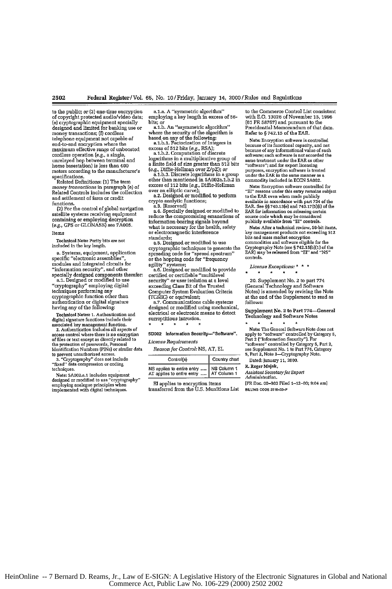to the public; or **(3)** one-time encryption of copyright protected audio/video data; (a) cryptographic equipment specially designed **and** limited for banking use or money transactions; **(f)** cordless telephone equipment not capable of telephone equipment not capable of<br>end-to-end encryption where the<br>maximum effective range of unboosted cordless operation [e.g., a single, unrelayed hop between terminal and home basestation) is less than <sup>400</sup> meters according to the manufacturer's specifications.

Related Definitions: **(1)** The term money transactions in paragraph (e) of Related Controls includes the collection and settlement of fares or credit

functions. (2) **For** the control of global navigation satellite systems receiving equipment containing or employing decryption (e.g., **CPS** or **GLONASS)** see **7A005.** Items

Technical Note: Parity bits are not included **in** the key length.

a. Systems, equipment, application specific "electronic assemblies", modules and integrated circuits for "information security", and other specially designed components therefor:

a.1. Designed or modified to use "cryptography" employing digital techniques performing any cryptographic function other than authentication or digital signature

having any of the following: Technical Notes: 1. Authentication **and** digital signature functions include their

associated key management function. 2. Authentication includes all aspects of access **eontrol** where there is no encryption of friles **or** text **except as** directly related to the protection of passwords, Personal Identification Numbers (PINs) or similar data

to prevent unauthorized access. **3.** "Cryptography" does not include "fixed" data compression **or** coding techniques.

Note: 5A002a.1 includes equipment designed or modified **to** use "cryptography" employing analogue principles when implemented with digital techniques.

a.l.a. **A** "symmetric algorithm" employing a key length in excess **of 56-** bits; or

a.1.b. An "asymmetric algorithm" where the security of the algorithm is<br>based on any of the following:<br>a.1.b.1. Factorization of integers in

excess **of 512** bits *(e.g.,* RSA); a.l.b.2. Computation of discrete

logarithms in a multiplicative group of a finite field of size greater than **512** bits (e.g., Diffie-Hellman over ZipZ); *or* a.l.b.3. Discrete logaritlhms in a group

other than mentioned in 5A002a.1.b.2 in<br>excess of 112 bits (e.g., Diffie-Hellman<br>over an elliptic curve);<br> $\alpha$  a.2. Designed or modified to perform

crypto analytic functions;<br>a.2. Designed or modified to perform<br>crypto analytic functions;<br>a.3. Reserved]

are compromising emanations of<br>reduce the compromising emanations of<br>information-bearing signals beyond what is necessary for the health, safety or electromagnetic interference standards;

a.5. Designed or modified to use cryptographic techniques to generate **the** spreading code for "spread spectrum" or the hopping code for "frequency agility" systems; a.6. Designed or modified to provide

certified or certifiable "multilevel security" or user isolation at a level exceeding Class B2 of the Trusted Computer System Evaluation Criteria **ITCSEC)** or equivalent; a.7. Communications cable systems

designed or modified using mechanical, electrical or electronic means to detect surreptitious intrusion.

## 5D002 Information Security-"Software".

*License Requirements*

| Reason for Control: NS, AT, EI. |  |  |  |  |  |
|---------------------------------|--|--|--|--|--|
|---------------------------------|--|--|--|--|--|

| Control(s)                                                                         | Country chart |  |
|------------------------------------------------------------------------------------|---------------|--|
| NS applies to entire entry  NS Column 1<br>AT applies to entire entry  AT Column 1 |               |  |

**El** applies to encryption items transferred from the **U.S.** Munitions List

to the Commerce Control List consistent with **E.D. 13026** of November **15,1996 (61** FR **58767)** and pursuant to the Presidential Memorandum of that date. Refer to § 742.15 **of** the EAR.

Note: Encryption software is controlled because of its functional capacity, **and not** because of any informational value of such software; such software is not accorded the same treatment under the EAR as other<br>"software"; and for export licensing purposes, encryption software is treated under the EAR in the same manner m **a** commodity included in **ECCN 5AG02.**

Note: Eneryption software controlled for **"E"** reasons **under** this entry remains **subject** to the EAR even when made publicly available in accordance with part 734 of the EAR. See *§§* 740.131e) **and** 740.17(5(i) **of** the EAR **fer** information on releasing certain source code which may be considered publicly available from "EI" controls.

**Note: After a** technical reviaw, **56-bit** items, key management products **not** exceeding **512** bits **and** mass market encryption commodities and software eligible for the Cryptography Note (see § **742.15(b)(1) of** the EARI may be released from "El" **and "NS"** controls.

*License Exceptions:*  $\ddot{\phantom{0}}$  $\star$  $\star$ `∗

**20.** Supplement No. 2 to part **774** (General Technology and Software Notes) is amended by revising the Note at the end of the Supplement to read as follows:

Supplement No. 2 **to** Part 774-General Technology **and** Software Notes

 $\star$  $\star$ **Note:** The General Software Note does not apply **to** "software" controlled **by** Category 5, Part **2** ("Information Security"). For "sotware" controlled **by** Category **5,** Pact **2.** see Supplement No. 1 to Pet 774, Category **5,** Part 2, Note 3-Cryptography Note.

Dated: January **11,** 2000,

*Y.* Roger Majak,

*Assistant SeertaryforExport Administration.*

[FR Doe. **00-983** Filed 1-12-00; 9:04 am] **BILLING CODE 3510-33-P** 

HeinOnline -- 7 Bernard D. Reams, Jr., Law of E-SIGN: A Legislative History of the Electronic Signatures in Global and National Commerce Act, Public Law No. 106-229 (2000) 2502 2002